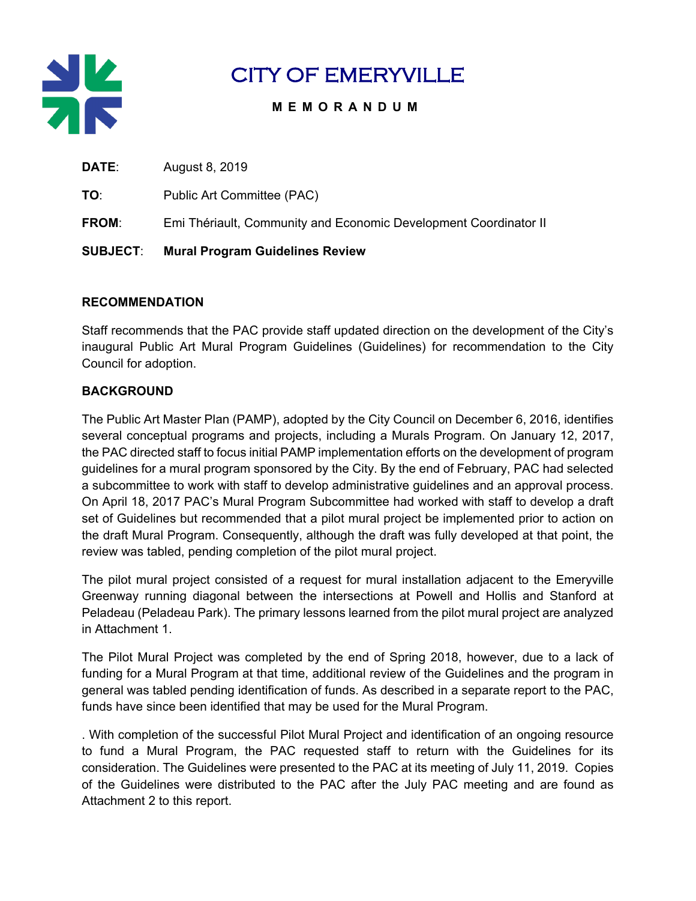

# CITY OF EMERYVILLE

# **MEMORANDUM**

| <b>SUBJECT:</b> | <b>Mural Program Guidelines Review</b>                           |
|-----------------|------------------------------------------------------------------|
| <b>FROM:</b>    | Emi Thériault, Community and Economic Development Coordinator II |
| TO:             | Public Art Committee (PAC)                                       |
| <b>DATE:</b>    | August 8, 2019                                                   |

#### **RECOMMENDATION**

Staff recommends that the PAC provide staff updated direction on the development of the City's inaugural Public Art Mural Program Guidelines (Guidelines) for recommendation to the City Council for adoption.

## **BACKGROUND**

The Public Art Master Plan (PAMP), adopted by the City Council on December 6, 2016, identifies several conceptual programs and projects, including a Murals Program. On January 12, 2017, the PAC directed staff to focus initial PAMP implementation efforts on the development of program guidelines for a mural program sponsored by the City. By the end of February, PAC had selected a subcommittee to work with staff to develop administrative guidelines and an approval process. On April 18, 2017 PAC's Mural Program Subcommittee had worked with staff to develop a draft set of Guidelines but recommended that a pilot mural project be implemented prior to action on the draft Mural Program. Consequently, although the draft was fully developed at that point, the review was tabled, pending completion of the pilot mural project.

The pilot mural project consisted of a request for mural installation adjacent to the Emeryville Greenway running diagonal between the intersections at Powell and Hollis and Stanford at Peladeau (Peladeau Park). The primary lessons learned from the pilot mural project are analyzed in Attachment 1.

The Pilot Mural Project was completed by the end of Spring 2018, however, due to a lack of funding for a Mural Program at that time, additional review of the Guidelines and the program in general was tabled pending identification of funds. As described in a separate report to the PAC, funds have since been identified that may be used for the Mural Program.

. With completion of the successful Pilot Mural Project and identification of an ongoing resource to fund a Mural Program, the PAC requested staff to return with the Guidelines for its consideration. The Guidelines were presented to the PAC at its meeting of July 11, 2019. Copies of the Guidelines were distributed to the PAC after the July PAC meeting and are found as Attachment 2 to this report.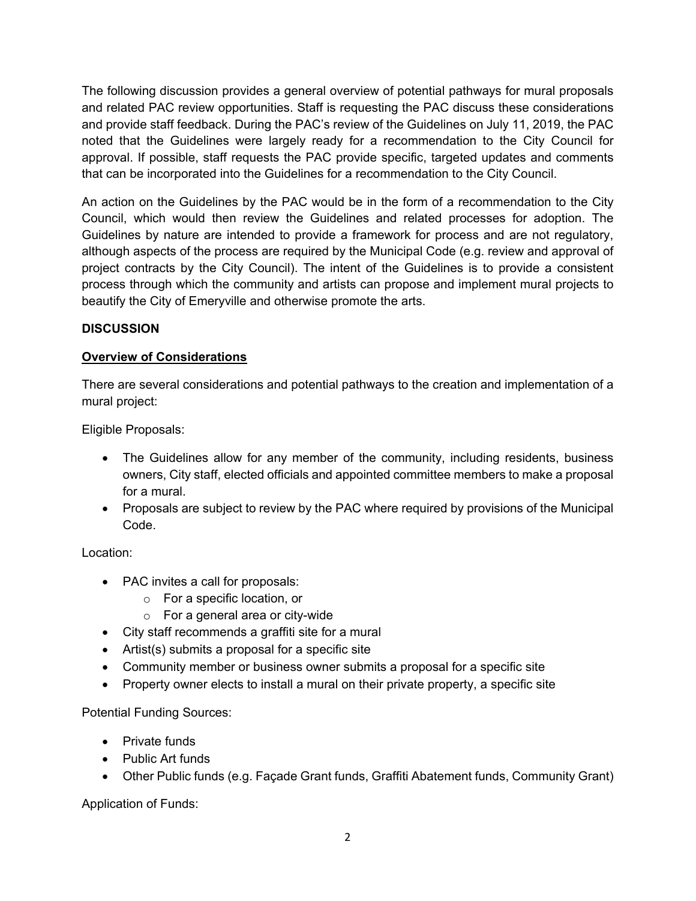The following discussion provides a general overview of potential pathways for mural proposals and related PAC review opportunities. Staff is requesting the PAC discuss these considerations and provide staff feedback. During the PAC's review of the Guidelines on July 11, 2019, the PAC noted that the Guidelines were largely ready for a recommendation to the City Council for approval. If possible, staff requests the PAC provide specific, targeted updates and comments that can be incorporated into the Guidelines for a recommendation to the City Council.

An action on the Guidelines by the PAC would be in the form of a recommendation to the City Council, which would then review the Guidelines and related processes for adoption. The Guidelines by nature are intended to provide a framework for process and are not regulatory, although aspects of the process are required by the Municipal Code (e.g. review and approval of project contracts by the City Council). The intent of the Guidelines is to provide a consistent process through which the community and artists can propose and implement mural projects to beautify the City of Emeryville and otherwise promote the arts.

## **DISCUSSION**

# **Overview of Considerations**

There are several considerations and potential pathways to the creation and implementation of a mural project:

Eligible Proposals:

- The Guidelines allow for any member of the community, including residents, business owners, City staff, elected officials and appointed committee members to make a proposal for a mural.
- Proposals are subject to review by the PAC where required by provisions of the Municipal Code.

## Location:

- PAC invites a call for proposals:
	- o For a specific location, or
	- o For a general area or city-wide
- City staff recommends a graffiti site for a mural
- Artist(s) submits a proposal for a specific site
- Community member or business owner submits a proposal for a specific site
- Property owner elects to install a mural on their private property, a specific site

Potential Funding Sources:

- Private funds
- Public Art funds
- Other Public funds (e.g. Façade Grant funds, Graffiti Abatement funds, Community Grant)

Application of Funds: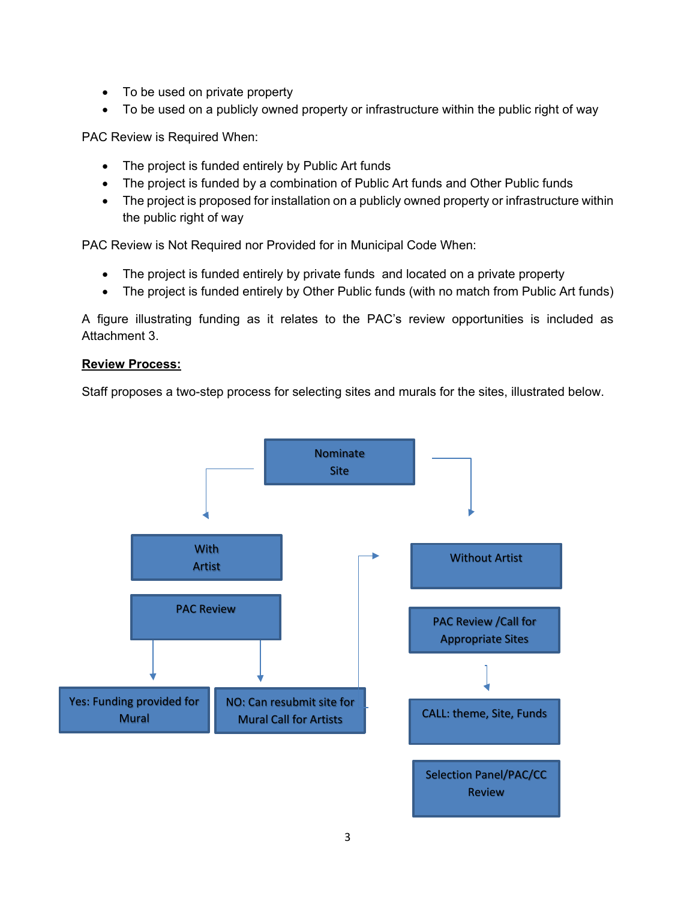- To be used on private property
- To be used on a publicly owned property or infrastructure within the public right of way

PAC Review is Required When:

- The project is funded entirely by Public Art funds
- The project is funded by a combination of Public Art funds and Other Public funds
- The project is proposed for installation on a publicly owned property or infrastructure within the public right of way

PAC Review is Not Required nor Provided for in Municipal Code When:

- The project is funded entirely by private funds and located on a private property
- The project is funded entirely by Other Public funds (with no match from Public Art funds)

A figure illustrating funding as it relates to the PAC's review opportunities is included as Attachment 3.

#### **Review Process:**

Staff proposes a two-step process for selecting sites and murals for the sites, illustrated below.

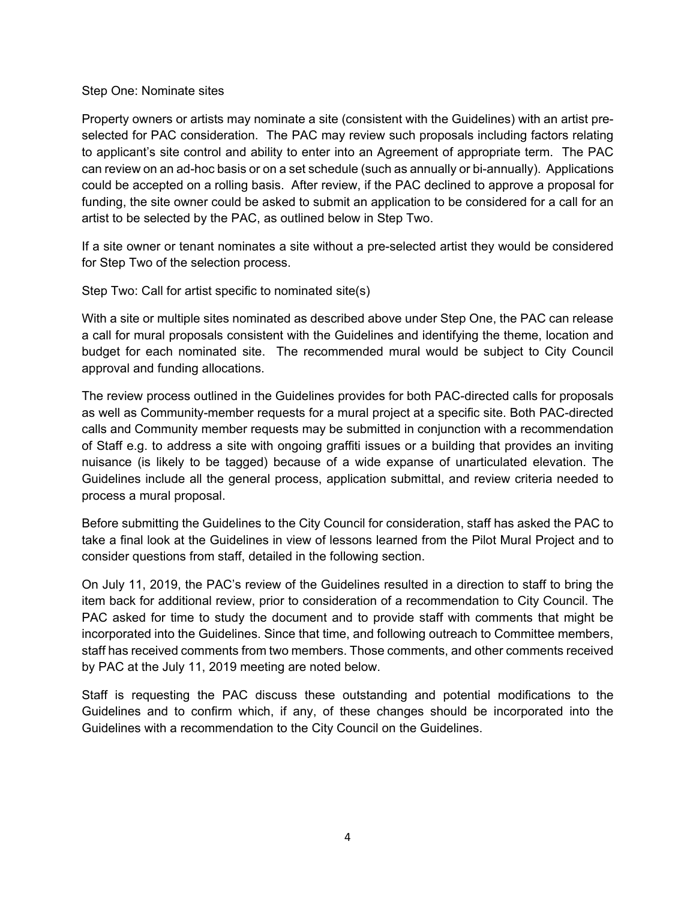#### Step One: Nominate sites

Property owners or artists may nominate a site (consistent with the Guidelines) with an artist preselected for PAC consideration. The PAC may review such proposals including factors relating to applicant's site control and ability to enter into an Agreement of appropriate term. The PAC can review on an ad-hoc basis or on a set schedule (such as annually or bi-annually). Applications could be accepted on a rolling basis. After review, if the PAC declined to approve a proposal for funding, the site owner could be asked to submit an application to be considered for a call for an artist to be selected by the PAC, as outlined below in Step Two.

If a site owner or tenant nominates a site without a pre-selected artist they would be considered for Step Two of the selection process.

Step Two: Call for artist specific to nominated site(s)

With a site or multiple sites nominated as described above under Step One, the PAC can release a call for mural proposals consistent with the Guidelines and identifying the theme, location and budget for each nominated site. The recommended mural would be subject to City Council approval and funding allocations.

The review process outlined in the Guidelines provides for both PAC-directed calls for proposals as well as Community-member requests for a mural project at a specific site. Both PAC-directed calls and Community member requests may be submitted in conjunction with a recommendation of Staff e.g. to address a site with ongoing graffiti issues or a building that provides an inviting nuisance (is likely to be tagged) because of a wide expanse of unarticulated elevation. The Guidelines include all the general process, application submittal, and review criteria needed to process a mural proposal.

Before submitting the Guidelines to the City Council for consideration, staff has asked the PAC to take a final look at the Guidelines in view of lessons learned from the Pilot Mural Project and to consider questions from staff, detailed in the following section.

On July 11, 2019, the PAC's review of the Guidelines resulted in a direction to staff to bring the item back for additional review, prior to consideration of a recommendation to City Council. The PAC asked for time to study the document and to provide staff with comments that might be incorporated into the Guidelines. Since that time, and following outreach to Committee members, staff has received comments from two members. Those comments, and other comments received by PAC at the July 11, 2019 meeting are noted below.

Staff is requesting the PAC discuss these outstanding and potential modifications to the Guidelines and to confirm which, if any, of these changes should be incorporated into the Guidelines with a recommendation to the City Council on the Guidelines.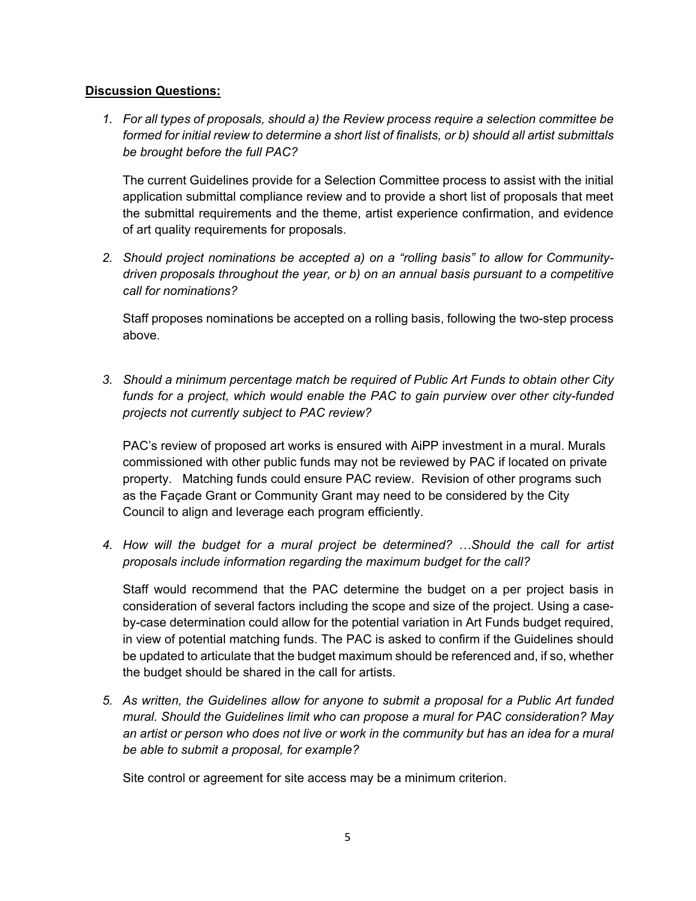#### **Discussion Questions:**

*1. For all types of proposals, should a) the Review process require a selection committee be formed for initial review to determine a short list of finalists, or b) should all artist submittals be brought before the full PAC?*

The current Guidelines provide for a Selection Committee process to assist with the initial application submittal compliance review and to provide a short list of proposals that meet the submittal requirements and the theme, artist experience confirmation, and evidence of art quality requirements for proposals.

*2. Should project nominations be accepted a) on a "rolling basis" to allow for Communitydriven proposals throughout the year, or b) on an annual basis pursuant to a competitive call for nominations?*

Staff proposes nominations be accepted on a rolling basis, following the two-step process above.

*3. Should a minimum percentage match be required of Public Art Funds to obtain other City funds for a project, which would enable the PAC to gain purview over other city-funded projects not currently subject to PAC review?*

PAC's review of proposed art works is ensured with AiPP investment in a mural. Murals commissioned with other public funds may not be reviewed by PAC if located on private property. Matching funds could ensure PAC review. Revision of other programs such as the Façade Grant or Community Grant may need to be considered by the City Council to align and leverage each program efficiently.

*4. How will the budget for a mural project be determined? …Should the call for artist proposals include information regarding the maximum budget for the call?* 

Staff would recommend that the PAC determine the budget on a per project basis in consideration of several factors including the scope and size of the project. Using a caseby-case determination could allow for the potential variation in Art Funds budget required, in view of potential matching funds. The PAC is asked to confirm if the Guidelines should be updated to articulate that the budget maximum should be referenced and, if so, whether the budget should be shared in the call for artists.

*5. As written, the Guidelines allow for anyone to submit a proposal for a Public Art funded mural. Should the Guidelines limit who can propose a mural for PAC consideration? May an artist or person who does not live or work in the community but has an idea for a mural be able to submit a proposal, for example?*

Site control or agreement for site access may be a minimum criterion.